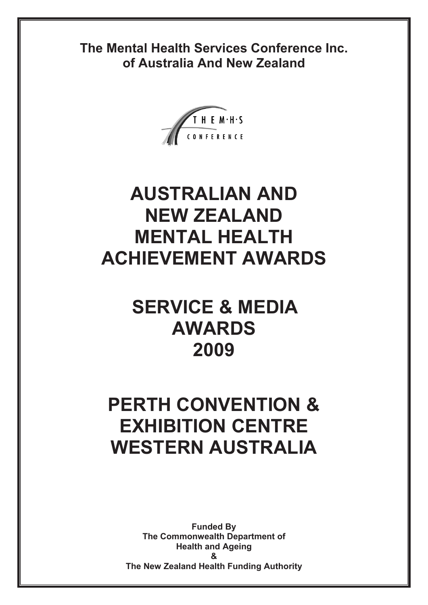**The Mental Health Services Conference Inc. of Australia And New Zealand** 



# **AUSTRALIAN AND NEW ZEALAND MENTAL HEALTH ACHIEVEMENT AWARDS**

# **SERVICE & MEDIA AWARDS 2009**

# **PERTH CONVENTION & EXHIBITION CENTRE WESTERN AUSTRALIA**

**Funded By The Commonwealth Department of Health and Ageing & The New Zealand Health Funding Authority**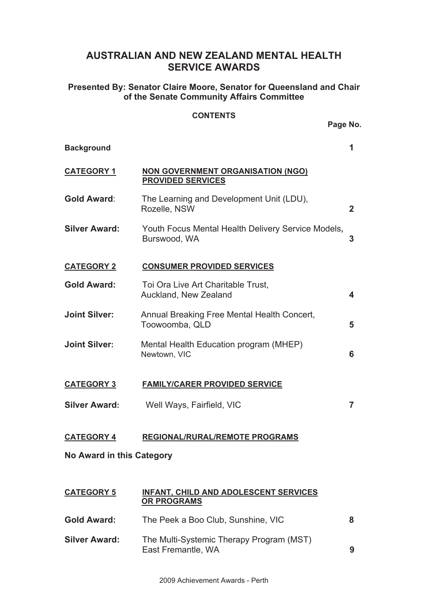# **AUSTRALIAN AND NEW ZEALAND MENTAL HEALTH SERVICE AWARDS**

**Presented By: Senator Claire Moore, Senator for Queensland and Chair of the Senate Community Affairs Committee** 

### **CONTENTS**

|                           | Page No.                                                             |                |
|---------------------------|----------------------------------------------------------------------|----------------|
| <b>Background</b>         |                                                                      | 1              |
| <b>CATEGORY 1</b>         | <b>NON GOVERNMENT ORGANISATION (NGO)</b><br><b>PROVIDED SERVICES</b> |                |
| <b>Gold Award:</b>        | The Learning and Development Unit (LDU),<br>Rozelle, NSW             | $\overline{2}$ |
| <b>Silver Award:</b>      | Youth Focus Mental Health Delivery Service Models,<br>Burswood, WA   | 3              |
| <b>CATEGORY 2</b>         | <b>CONSUMER PROVIDED SERVICES</b>                                    |                |
| <b>Gold Award:</b>        | Toi Ora Live Art Charitable Trust,<br>Auckland, New Zealand          | 4              |
| <b>Joint Silver:</b>      | Annual Breaking Free Mental Health Concert,<br>Toowoomba, QLD        | 5              |
| <b>Joint Silver:</b>      | Mental Health Education program (MHEP)<br>Newtown, VIC               | 6              |
| <b>CATEGORY 3</b>         | <b>FAMILY/CARER PROVIDED SERVICE</b>                                 |                |
| <b>Silver Award:</b>      | Well Ways, Fairfield, VIC                                            | $\overline{7}$ |
| <b>CATEGORY 4</b>         | <b>REGIONAL/RURAL/REMOTE PROGRAMS</b>                                |                |
| No Award in this Category |                                                                      |                |
|                           | u.                                                                   |                |

## **CATEGORY 5 INFANT, CHILD AND ADOLESCENT SERVICES OR PROGRAMS**

**Gold Award:** The Peek a Boo Club, Sunshine, VIC **8 Silver Award:** The Multi-Systemic Therapy Program (MST) East Fremantle, WA **9**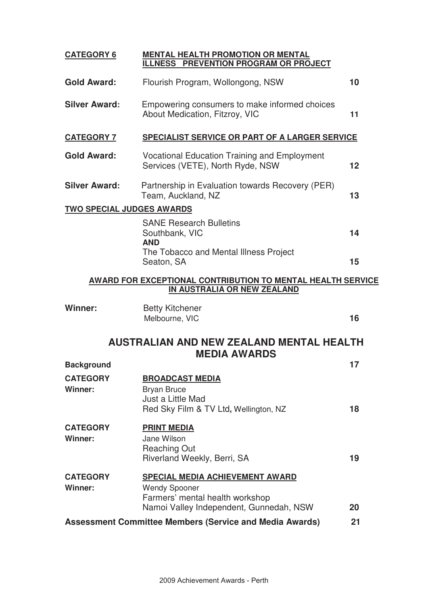| <b>CATEGORY 6</b>                                                                                 | <b>MENTAL HEALTH PROMOTION OR MENTAL</b><br>ILLNESS PREVENTION PROGRAM OR PROJECT                          |    |
|---------------------------------------------------------------------------------------------------|------------------------------------------------------------------------------------------------------------|----|
| <b>Gold Award:</b>                                                                                | Flourish Program, Wollongong, NSW                                                                          | 10 |
| <b>Silver Award:</b>                                                                              | Empowering consumers to make informed choices<br>About Medication, Fitzroy, VIC                            | 11 |
| <b>CATEGORY 7</b>                                                                                 | <b>SPECIALIST SERVICE OR PART OF A LARGER SERVICE</b>                                                      |    |
| <b>Gold Award:</b>                                                                                | Vocational Education Training and Employment<br>Services (VETE), North Ryde, NSW                           | 12 |
| <b>Silver Award:</b>                                                                              | Partnership in Evaluation towards Recovery (PER)<br>Team, Auckland, NZ                                     | 13 |
| <b>TWO SPECIAL JUDGES AWARDS</b>                                                                  |                                                                                                            |    |
|                                                                                                   | <b>SANE Research Bulletins</b><br>Southbank, VIC<br><b>AND</b>                                             | 14 |
|                                                                                                   | The Tobacco and Mental Illness Project<br>Seaton, SA                                                       | 15 |
| <b>AWARD FOR EXCEPTIONAL CONTRIBUTION TO MENTAL HEALTH SERVICE</b><br>IN AUSTRALIA OR NEW ZEALAND |                                                                                                            |    |
| <b>Winner:</b>                                                                                    | <b>Betty Kitchener</b><br>Melbourne, VIC                                                                   | 16 |
|                                                                                                   | <b>AUSTRALIAN AND NEW ZEALAND MENTAL HEALTH</b><br><b>MEDIA AWARDS</b>                                     |    |
| <b>Background</b>                                                                                 |                                                                                                            | 17 |
| <b>CATEGORY</b><br>Winner:                                                                        | <b>BROADCAST MEDIA</b><br><b>Bryan Bruce</b><br>Just a Little Mad<br>Red Sky Film & TV Ltd, Wellington, NZ | 18 |
| <b>CATEGORY</b><br>Winner:                                                                        | <b>PRINT MEDIA</b><br>Jane Wilson<br><b>Reaching Out</b><br>Riverland Weekly, Berri, SA                    | 19 |
| <b>CATEGORY</b><br><b>Winner:</b>                                                                 | <b>SPECIAL MEDIA ACHIEVEMENT AWARD</b><br><b>Wendy Spooner</b><br>Farmers' mental health workshop          |    |
|                                                                                                   | Namoi Valley Independent, Gunnedah, NSW                                                                    | 20 |
| <b>Assessment Committee Members (Service and Media Awards)</b><br>21                              |                                                                                                            |    |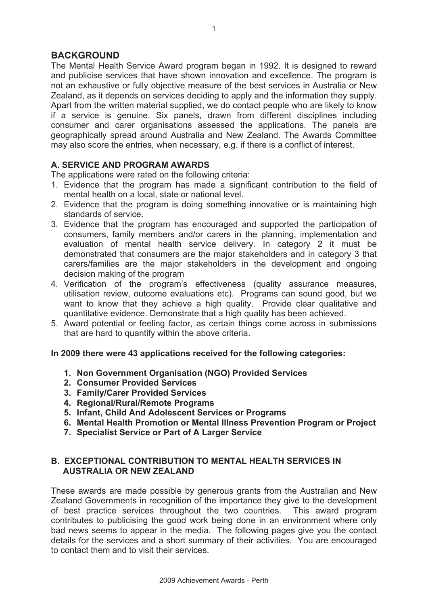# **BACKGROUND**

The Mental Health Service Award program began in 1992. It is designed to reward and publicise services that have shown innovation and excellence. The program is not an exhaustive or fully objective measure of the best services in Australia or New Zealand, as it depends on services deciding to apply and the information they supply. Apart from the written material supplied, we do contact people who are likely to know if a service is genuine. Six panels, drawn from different disciplines including consumer and carer organisations assessed the applications. The panels are geographically spread around Australia and New Zealand. The Awards Committee may also score the entries, when necessary, e.g. if there is a conflict of interest.

# **A. SERVICE AND PROGRAM AWARDS**

The applications were rated on the following criteria:

- 1. Evidence that the program has made a significant contribution to the field of mental health on a local, state or national level.
- 2. Evidence that the program is doing something innovative or is maintaining high standards of service.
- 3. Evidence that the program has encouraged and supported the participation of consumers, family members and/or carers in the planning, implementation and evaluation of mental health service delivery. In category 2 it must be demonstrated that consumers are the major stakeholders and in category 3 that carers/families are the major stakeholders in the development and ongoing decision making of the program
- 4. Verification of the program's effectiveness (quality assurance measures, utilisation review, outcome evaluations etc). Programs can sound good, but we want to know that they achieve a high quality. Provide clear qualitative and quantitative evidence. Demonstrate that a high quality has been achieved.
- 5. Award potential or feeling factor, as certain things come across in submissions that are hard to quantify within the above criteria.

# **In 2009 there were 43 applications received for the following categories:**

- **1. Non Government Organisation (NGO) Provided Services**
- **2. Consumer Provided Services**
- **3. Family/Carer Provided Services**
- **4. Regional/Rural/Remote Programs**
- **5. Infant, Child And Adolescent Services or Programs**
- **6. Mental Health Promotion or Mental Illness Prevention Program or Project**
- **7. Specialist Service or Part of A Larger Service**

# **B. EXCEPTIONAL CONTRIBUTION TO MENTAL HEALTH SERVICES IN AUSTRALIA OR NEW ZEALAND**

These awards are made possible by generous grants from the Australian and New Zealand Governments in recognition of the importance they give to the development of best practice services throughout the two countries. This award program contributes to publicising the good work being done in an environment where only bad news seems to appear in the media. The following pages give you the contact details for the services and a short summary of their activities. You are encouraged to contact them and to visit their services.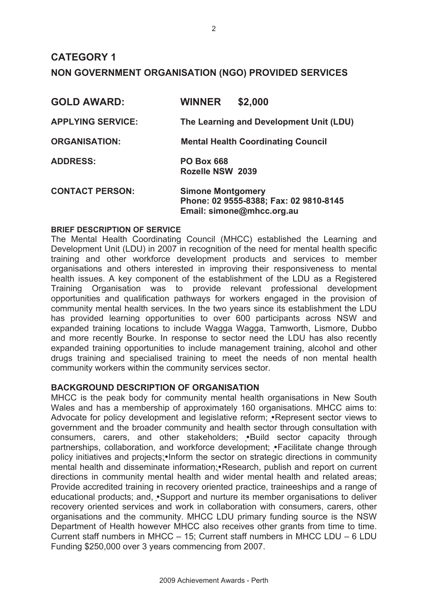# **CATEGORY 1 NON GOVERNMENT ORGANISATION (NGO) PROVIDED SERVICES**

| <b>GOLD AWARD:</b>       | <b>WINNER</b>                         | \$2,000                                                             |
|--------------------------|---------------------------------------|---------------------------------------------------------------------|
| <b>APPLYING SERVICE:</b> |                                       | The Learning and Development Unit (LDU)                             |
| <b>ORGANISATION:</b>     |                                       | <b>Mental Health Coordinating Council</b>                           |
| <b>ADDRESS:</b>          | <b>PO Box 668</b><br>Rozelle NSW 2039 |                                                                     |
| <b>CONTACT PERSON:</b>   | <b>Simone Montgomery</b>              | Phone: 02 9555-8388; Fax: 02 9810-8145<br>Email: simone@mhcc.org.au |

### **BRIEF DESCRIPTION OF SERVICE**

The Mental Health Coordinating Council (MHCC) established the Learning and Development Unit (LDU) in 2007 in recognition of the need for mental health specific training and other workforce development products and services to member organisations and others interested in improving their responsiveness to mental health issues. A key component of the establishment of the LDU as a Registered Training Organisation was to provide relevant professional development opportunities and qualification pathways for workers engaged in the provision of community mental health services. In the two years since its establishment the LDU has provided learning opportunities to over 600 participants across NSW and expanded training locations to include Wagga Wagga, Tamworth, Lismore, Dubbo and more recently Bourke. In response to sector need the LDU has also recently expanded training opportunities to include management training, alcohol and other drugs training and specialised training to meet the needs of non mental health community workers within the community services sector.

# **BACKGROUND DESCRIPTION OF ORGANISATION**

MHCC is the peak body for community mental health organisations in New South Wales and has a membership of approximately 160 organisations. MHCC aims to: Advocate for policy development and legislative reform; • Represent sector views to government and the broader community and health sector through consultation with consumers, carers, and other stakeholders; • Build sector capacity through partnerships, collaboration, and workforce development; • Facilitate change through policy initiatives and projects; Inform the sector on strategic directions in community mental health and disseminate information; Research, publish and report on current directions in community mental health and wider mental health and related areas; Provide accredited training in recovery oriented practice, traineeships and a range of educational products; and, •Support and nurture its member organisations to deliver recovery oriented services and work in collaboration with consumers, carers, other organisations and the community. MHCC LDU primary funding source is the NSW Department of Health however MHCC also receives other grants from time to time. Current staff numbers in MHCC – 15; Current staff numbers in MHCC LDU – 6 LDU Funding \$250,000 over 3 years commencing from 2007.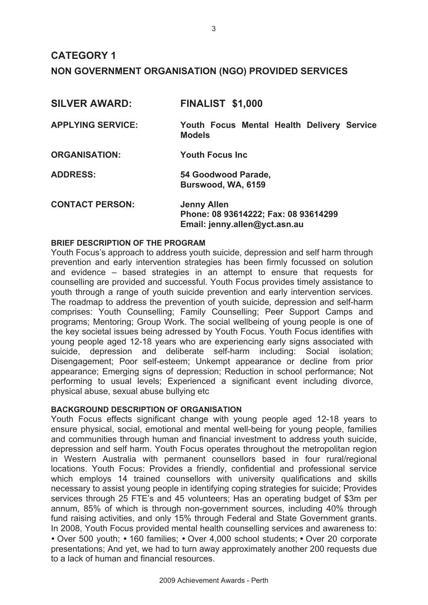# **CATEGORY 1 NON GOVERNMENT ORGANISATION (NGO) PROVIDED SERVICES**

| <b>SILVER AWARD:</b>     | <b>FINALIST \$1,000</b>                                                                     |
|--------------------------|---------------------------------------------------------------------------------------------|
| <b>APPLYING SERVICE:</b> | Youth Focus Mental Health Delivery Service<br><b>Models</b>                                 |
| <b>ORGANISATION:</b>     | <b>Youth Focus Inc.</b>                                                                     |
| <b>ADDRESS:</b>          | 54 Goodwood Parade,<br>Burswood, WA, 6159                                                   |
| <b>CONTACT PERSON:</b>   | <b>Jenny Allen</b><br>Phone: 08 93614222; Fax: 08 93614299<br>Email: jenny.allen@yct.asn.au |

#### **BRIEF DESCRIPTION OF THE PROGRAM**

Youth Focus's approach to address youth suicide, depression and self harm through prevention and early intervention strategies has been firmly focussed on solution and evidence – based strategies in an attempt to ensure that requests for counselling are provided and successful. Youth Focus provides timely assistance to youth through a range of youth suicide prevention and early intervention services. The roadmap to address the prevention of youth suicide, depression and self-harm comprises: Youth Counselling; Family Counselling; Peer Support Camps and programs; Mentoring; Group Work. The social wellbeing of young people is one of the key societal issues being adressed by Youth Focus. Youth Focus identifies with young people aged 12-18 years who are experiencing early signs associated with suicide, depression and deliberate self-harm including: Social isolation; Disengagement; Poor self-esteem; Unkempt appearance or decline from prior appearance; Emerging signs of depression; Reduction in school performance; Not performing to usual levels; Experienced a significant event including divorce, physical abuse, sexual abuse bullying etc

#### **BACKGROUND DESCRIPTION OF ORGANISATION**

Youth Focus effects significant change with young people aged 12-18 years to ensure physical, social, emotional and mental well-being for young people, families and communities through human and financial investment to address youth suicide, depression and self harm. Youth Focus operates throughout the metropolitan region in Western Australia with permanent counsellors based in four rural/regional locations. Youth Focus: Provides a friendly, confidential and professional service which employs 14 trained counsellors with university qualifications and skills necessary to assist young people in identifying coping strategies for suicide; Provides services through 25 FTE's and 45 volunteers; Has an operating budget of \$3m per annum, 85% of which is through non-government sources, including 40% through fund raising activities, and only 15% through Federal and State Government grants. In 2008, Youth Focus provided mental health counselling services and awareness to: • Over 500 youth; • 160 families; • Over 4,000 school students; • Over 20 corporate presentations; And yet, we had to turn away approximately another 200 requests due to a lack of human and financial resources.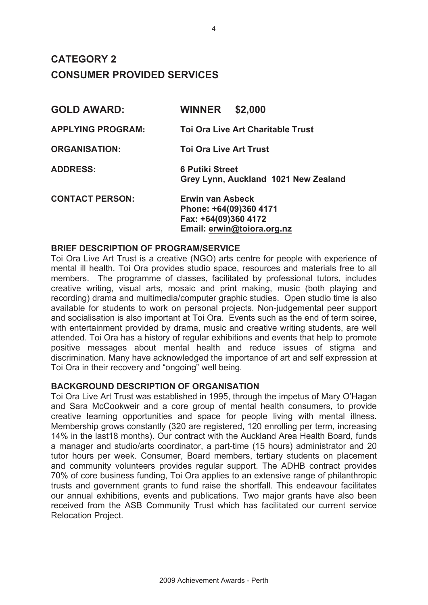# **CATEGORY 2 CONSUMER PROVIDED SERVICES**

| <b>GOLD AWARD:</b>       | <b>WINNER</b><br>\$2,000                                                  |
|--------------------------|---------------------------------------------------------------------------|
| <b>APPLYING PROGRAM:</b> | <b>Toi Ora Live Art Charitable Trust</b>                                  |
| <b>ORGANISATION:</b>     | <b>Toi Ora Live Art Trust</b>                                             |
| <b>ADDRESS:</b>          | <b>6 Putiki Street</b><br>Grey Lynn, Auckland 1021 New Zealand            |
| <b>CONTACT PERSON:</b>   | <b>Erwin van Asbeck</b><br>Phone: +64(09)360 4171<br>Fax: +64(09)360 4172 |

### **BRIEF DESCRIPTION OF PROGRAM/SERVICE**

Toi Ora Live Art Trust is a creative (NGO) arts centre for people with experience of mental ill health. Toi Ora provides studio space, resources and materials free to all members. The programme of classes, facilitated by professional tutors, includes creative writing, visual arts, mosaic and print making, music (both playing and recording) drama and multimedia/computer graphic studies. Open studio time is also available for students to work on personal projects. Non-judgemental peer support and socialisation is also important at Toi Ora. Events such as the end of term soiree, with entertainment provided by drama, music and creative writing students, are well attended. Toi Ora has a history of regular exhibitions and events that help to promote positive messages about mental health and reduce issues of stigma and discrimination. Many have acknowledged the importance of art and self expression at Toi Ora in their recovery and "ongoing" well being.

**Email: erwin@toiora.org.nz**

### **BACKGROUND DESCRIPTION OF ORGANISATION**

Toi Ora Live Art Trust was established in 1995, through the impetus of Mary O'Hagan and Sara McCookweir and a core group of mental health consumers, to provide creative learning opportunities and space for people living with mental illness. Membership grows constantly (320 are registered, 120 enrolling per term, increasing 14% in the last18 months). Our contract with the Auckland Area Health Board, funds a manager and studio/arts coordinator, a part-time (15 hours) administrator and 20 tutor hours per week. Consumer, Board members, tertiary students on placement and community volunteers provides regular support. The ADHB contract provides 70% of core business funding, Toi Ora applies to an extensive range of philanthropic trusts and government grants to fund raise the shortfall. This endeavour facilitates our annual exhibitions, events and publications. Two major grants have also been received from the ASB Community Trust which has facilitated our current service Relocation Project.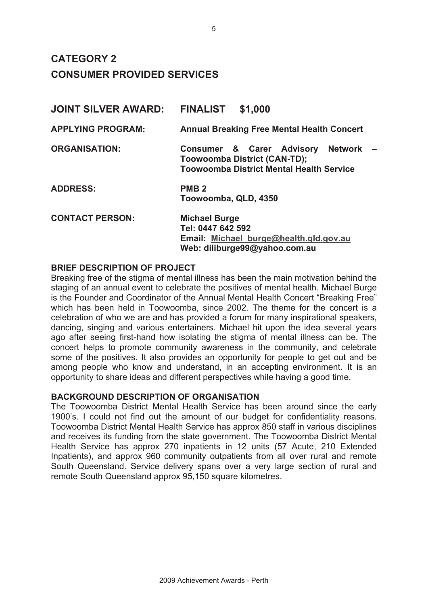# **CATEGORY 2 CONSUMER PROVIDED SERVICES**

| <b>JOINT SILVER AWARD:</b> | <b>FINALIST</b><br>\$1,000                                                                                                  |
|----------------------------|-----------------------------------------------------------------------------------------------------------------------------|
| <b>APPLYING PROGRAM:</b>   | <b>Annual Breaking Free Mental Health Concert</b>                                                                           |
| <b>ORGANISATION:</b>       | Consumer & Carer Advisory Network<br><b>Toowoomba District (CAN-TD);</b><br><b>Toowoomba District Mental Health Service</b> |
| <b>ADDRESS:</b>            | PMB <sub>2</sub><br>Toowoomba, QLD, 4350                                                                                    |
| <b>CONTACT PERSON:</b>     | <b>Michael Burge</b><br>Tel: 0447 642 592<br>Email: Michael burge@health.qld.gov.au<br>Web: diliburge99@yahoo.com.au        |

## **BRIEF DESCRIPTION OF PROJECT**

Breaking free of the stigma of mental illness has been the main motivation behind the staging of an annual event to celebrate the positives of mental health. Michael Burge is the Founder and Coordinator of the Annual Mental Health Concert "Breaking Free" which has been held in Toowoomba, since 2002. The theme for the concert is a celebration of who we are and has provided a forum for many inspirational speakers, dancing, singing and various entertainers. Michael hit upon the idea several years ago after seeing first-hand how isolating the stigma of mental illness can be. The concert helps to promote community awareness in the community, and celebrate some of the positives. It also provides an opportunity for people to get out and be among people who know and understand, in an accepting environment. It is an opportunity to share ideas and different perspectives while having a good time.

### **BACKGROUND DESCRIPTION OF ORGANISATION**

The Toowoomba District Mental Health Service has been around since the early 1900's. I could not find out the amount of our budget for confidentiality reasons. Toowoomba District Mental Health Service has approx 850 staff in various disciplines and receives its funding from the state government. The Toowoomba District Mental Health Service has approx 270 inpatients in 12 units (57 Acute, 210 Extended Inpatients), and approx 960 community outpatients from all over rural and remote South Queensland. Service delivery spans over a very large section of rural and remote South Queensland approx 95,150 square kilometres.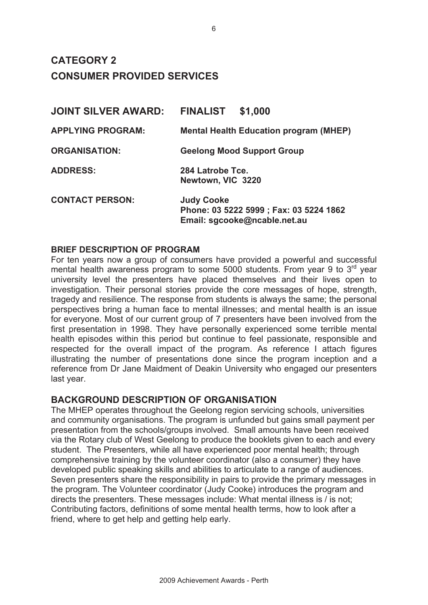**CATEGORY 2 CONSUMER PROVIDED SERVICES** 

| <b>JOINT SILVER AWARD:</b> | <b>FINALIST</b><br>\$1,000                                                                   |
|----------------------------|----------------------------------------------------------------------------------------------|
| <b>APPLYING PROGRAM:</b>   | <b>Mental Health Education program (MHEP)</b>                                                |
| <b>ORGANISATION:</b>       | <b>Geelong Mood Support Group</b>                                                            |
| <b>ADDRESS:</b>            | 284 Latrobe Tce.<br>Newtown, VIC 3220                                                        |
| <b>CONTACT PERSON:</b>     | <b>Judy Cooke</b><br>Phone: 03 5222 5999 ; Fax: 03 5224 1862<br>Email: sgcooke@ncable.net.au |

### **BRIEF DESCRIPTION OF PROGRAM**

For ten years now a group of consumers have provided a powerful and successful mental health awareness program to some 5000 students. From year 9 to 3<sup>rd</sup> year university level the presenters have placed themselves and their lives open to investigation. Their personal stories provide the core messages of hope, strength, tragedy and resilience. The response from students is always the same; the personal perspectives bring a human face to mental illnesses; and mental health is an issue for everyone. Most of our current group of 7 presenters have been involved from the first presentation in 1998. They have personally experienced some terrible mental health episodes within this period but continue to feel passionate, responsible and respected for the overall impact of the program. As reference I attach figures illustrating the number of presentations done since the program inception and a reference from Dr Jane Maidment of Deakin University who engaged our presenters last year.

# **BACKGROUND DESCRIPTION OF ORGANISATION**

The MHEP operates throughout the Geelong region servicing schools, universities and community organisations. The program is unfunded but gains small payment per presentation from the schools/groups involved. Small amounts have been received via the Rotary club of West Geelong to produce the booklets given to each and every student. The Presenters, while all have experienced poor mental health; through comprehensive training by the volunteer coordinator (also a consumer) they have developed public speaking skills and abilities to articulate to a range of audiences. Seven presenters share the responsibility in pairs to provide the primary messages in the program. The Volunteer coordinator (Judy Cooke) introduces the program and directs the presenters. These messages include: What mental illness is / is not; Contributing factors, definitions of some mental health terms, how to look after a friend, where to get help and getting help early.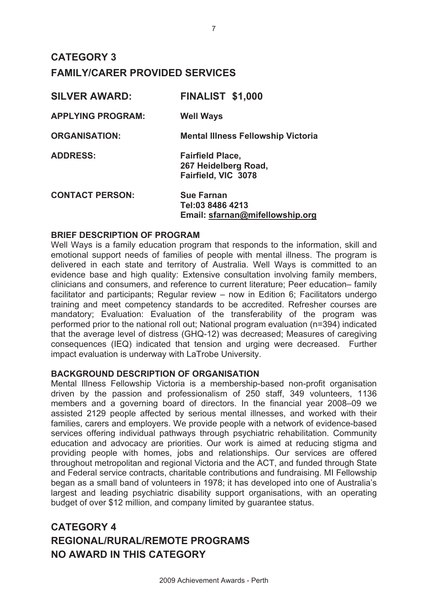# **CATEGORY 3 FAMILY/CARER PROVIDED SERVICES**

| <b>SILVER AWARD:</b>     | <b>FINALIST \$1,000</b>                                                  |
|--------------------------|--------------------------------------------------------------------------|
| <b>APPLYING PROGRAM:</b> | <b>Well Ways</b>                                                         |
| <b>ORGANISATION:</b>     | <b>Mental Illness Fellowship Victoria</b>                                |
| <b>ADDRESS:</b>          | <b>Fairfield Place,</b><br>267 Heidelberg Road,<br>Fairfield, VIC 3078   |
| <b>CONTACT PERSON:</b>   | <b>Sue Farnan</b><br>Tel:03 8486 4213<br>Email: sfarnan@mifellowship.org |

### **BRIEF DESCRIPTION OF PROGRAM**

Well Ways is a family education program that responds to the information, skill and emotional support needs of families of people with mental illness. The program is delivered in each state and territory of Australia. Well Ways is committed to an evidence base and high quality: Extensive consultation involving family members, clinicians and consumers, and reference to current literature; Peer education– family facilitator and participants; Regular review – now in Edition 6; Facilitators undergo training and meet competency standards to be accredited. Refresher courses are mandatory; Evaluation: Evaluation of the transferability of the program was performed prior to the national roll out; National program evaluation (n=394) indicated that the average level of distress (GHQ-12) was decreased; Measures of caregiving consequences (IEQ) indicated that tension and urging were decreased. Further impact evaluation is underway with LaTrobe University.

# **BACKGROUND DESCRIPTION OF ORGANISATION**

Mental Illness Fellowship Victoria is a membership-based non-profit organisation driven by the passion and professionalism of 250 staff, 349 volunteers, 1136 members and a governing board of directors. In the financial year 2008–09 we assisted 2129 people affected by serious mental illnesses, and worked with their families, carers and employers. We provide people with a network of evidence-based services offering individual pathways through psychiatric rehabilitation. Community education and advocacy are priorities. Our work is aimed at reducing stigma and providing people with homes, jobs and relationships. Our services are offered throughout metropolitan and regional Victoria and the ACT, and funded through State and Federal service contracts, charitable contributions and fundraising. MI Fellowship began as a small band of volunteers in 1978; it has developed into one of Australia's largest and leading psychiatric disability support organisations, with an operating budget of over \$12 million, and company limited by guarantee status.

# **CATEGORY 4 REGIONAL/RURAL/REMOTE PROGRAMS NO AWARD IN THIS CATEGORY**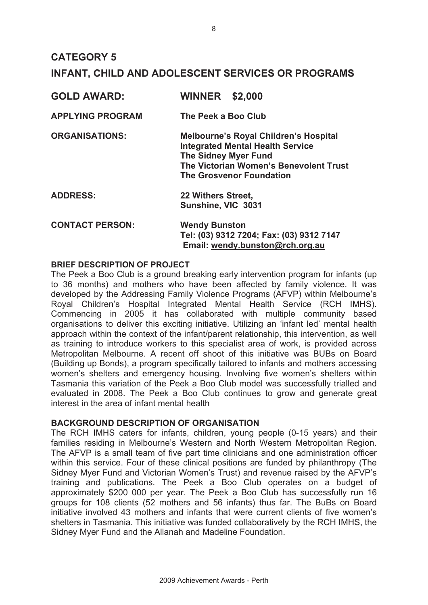# **CATEGORY 5 INFANT, CHILD AND ADOLESCENT SERVICES OR PROGRAMS**

| <b>GOLD AWARD:</b>      | <b>WINNER</b><br>\$2,000                                                                                                                                                                            |
|-------------------------|-----------------------------------------------------------------------------------------------------------------------------------------------------------------------------------------------------|
| <b>APPLYING PROGRAM</b> | The Peek a Boo Club                                                                                                                                                                                 |
| <b>ORGANISATIONS:</b>   | <b>Melbourne's Royal Children's Hospital</b><br><b>Integrated Mental Health Service</b><br><b>The Sidney Myer Fund</b><br>The Victorian Women's Benevolent Trust<br><b>The Grosvenor Foundation</b> |
| <b>ADDRESS:</b>         | 22 Withers Street,<br>Sunshine, VIC 3031                                                                                                                                                            |
| <b>CONTACT PERSON:</b>  | <b>Wendy Bunston</b><br>Tel: (03) 9312 7204; Fax: (03) 9312 7147<br>Email: wendy.bunston@rch.org.au                                                                                                 |

### **BRIEF DESCRIPTION OF PROJECT**

The Peek a Boo Club is a ground breaking early intervention program for infants (up to 36 months) and mothers who have been affected by family violence. It was developed by the Addressing Family Violence Programs (AFVP) within Melbourne's Royal Children's Hospital Integrated Mental Health Service (RCH IMHS). Commencing in 2005 it has collaborated with multiple community based organisations to deliver this exciting initiative. Utilizing an 'infant led' mental health approach within the context of the infant/parent relationship, this intervention, as well as training to introduce workers to this specialist area of work, is provided across Metropolitan Melbourne. A recent off shoot of this initiative was BUBs on Board (Building up Bonds), a program specifically tailored to infants and mothers accessing women's shelters and emergency housing. Involving five women's shelters within Tasmania this variation of the Peek a Boo Club model was successfully trialled and evaluated in 2008. The Peek a Boo Club continues to grow and generate great interest in the area of infant mental health

## **BACKGROUND DESCRIPTION OF ORGANISATION**

The RCH IMHS caters for infants, children, young people (0-15 years) and their families residing in Melbourne's Western and North Western Metropolitan Region. The AFVP is a small team of five part time clinicians and one administration officer within this service. Four of these clinical positions are funded by philanthropy (The Sidney Myer Fund and Victorian Women's Trust) and revenue raised by the AFVP's training and publications. The Peek a Boo Club operates on a budget of approximately \$200 000 per year. The Peek a Boo Club has successfully run 16 groups for 108 clients (52 mothers and 56 infants) thus far. The BuBs on Board initiative involved 43 mothers and infants that were current clients of five women's shelters in Tasmania. This initiative was funded collaboratively by the RCH IMHS, the Sidney Myer Fund and the Allanah and Madeline Foundation.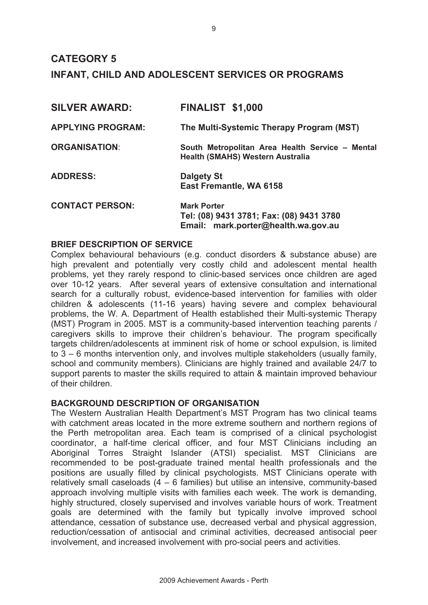# **CATEGORY 5 INFANT, CHILD AND ADOLESCENT SERVICES OR PROGRAMS**

| <b>SILVER AWARD:</b>     | <b>FINALIST \$1,000</b>                                                                               |
|--------------------------|-------------------------------------------------------------------------------------------------------|
| <b>APPLYING PROGRAM:</b> | The Multi-Systemic Therapy Program (MST)                                                              |
| <b>ORGANISATION:</b>     | South Metropolitan Area Health Service - Mental<br><b>Health (SMAHS) Western Australia</b>            |
| <b>ADDRESS:</b>          | <b>Dalgety St</b><br>East Fremantle, WA 6158                                                          |
| <b>CONTACT PERSON:</b>   | <b>Mark Porter</b><br>Tel: (08) 9431 3781; Fax: (08) 9431 3780<br>Email: mark.porter@health.wa.gov.au |

### **BRIEF DESCRIPTION OF SERVICE**

Complex behavioural behaviours (e.g. conduct disorders & substance abuse) are high prevalent and potentially very costly child and adolescent mental health problems, yet they rarely respond to clinic-based services once children are aged over 10-12 years. After several years of extensive consultation and international search for a culturally robust, evidence-based intervention for families with older children & adolescents (11-16 years) having severe and complex behavioural problems, the W. A. Department of Health established their Multi-systemic Therapy (MST) Program in 2005. MST is a community-based intervention teaching parents / caregivers skills to improve their children's behaviour. The program specifically targets children/adolescents at imminent risk of home or school expulsion, is limited to 3 – 6 months intervention only, and involves multiple stakeholders (usually family, school and community members). Clinicians are highly trained and available 24/7 to support parents to master the skills required to attain & maintain improved behaviour of their children.

### **BACKGROUND DESCRIPTION OF ORGANISATION**

The Western Australian Health Department's MST Program has two clinical teams with catchment areas located in the more extreme southern and northern regions of the Perth metropolitan area. Each team is comprised of a clinical psychologist coordinator, a half-time clerical officer, and four MST Clinicians including an Aboriginal Torres Straight Islander (ATSI) specialist. MST Clinicians are recommended to be post-graduate trained mental health professionals and the positions are usually filled by clinical psychologists. MST Clinicians operate with relatively small caseloads (4 – 6 families) but utilise an intensive, community-based approach involving multiple visits with families each week. The work is demanding, highly structured, closely supervised and involves variable hours of work. Treatment goals are determined with the family but typically involve improved school attendance, cessation of substance use, decreased verbal and physical aggression, reduction/cessation of antisocial and criminal activities, decreased antisocial peer involvement, and increased involvement with pro-social peers and activities.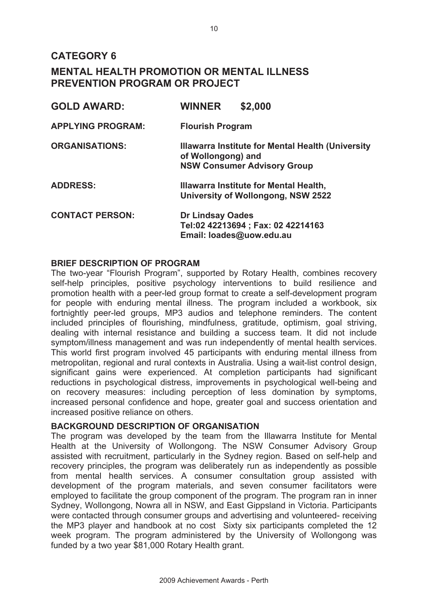**CATEGORY 6** 

# **MENTAL HEALTH PROMOTION OR MENTAL ILLNESS PREVENTION PROGRAM OR PROJECT**

| <b>GOLD AWARD:</b>       | <b>WINNER</b><br>\$2,000                                                                                      |
|--------------------------|---------------------------------------------------------------------------------------------------------------|
| <b>APPLYING PROGRAM:</b> | <b>Flourish Program</b>                                                                                       |
| <b>ORGANISATIONS:</b>    | Illawarra Institute for Mental Health (University<br>of Wollongong) and<br><b>NSW Consumer Advisory Group</b> |
| <b>ADDRESS:</b>          | Illawarra Institute for Mental Health,<br>University of Wollongong, NSW 2522                                  |
| <b>CONTACT PERSON:</b>   | <b>Dr Lindsay Oades</b><br>Tel:02 42213694; Fax: 02 42214163<br>Email: loades@uow.edu.au                      |

# **BRIEF DESCRIPTION OF PROGRAM**

The two-year "Flourish Program", supported by Rotary Health, combines recovery self-help principles, positive psychology interventions to build resilience and promotion health with a peer-led group format to create a self-development program for people with enduring mental illness. The program included a workbook, six fortnightly peer-led groups, MP3 audios and telephone reminders. The content included principles of flourishing, mindfulness, gratitude, optimism, goal striving, dealing with internal resistance and building a success team. It did not include symptom/illness management and was run independently of mental health services. This world first program involved 45 participants with enduring mental illness from metropolitan, regional and rural contexts in Australia. Using a wait-list control design, significant gains were experienced. At completion participants had significant reductions in psychological distress, improvements in psychological well-being and on recovery measures: including perception of less domination by symptoms, increased personal confidence and hope, greater goal and success orientation and increased positive reliance on others.

### **BACKGROUND DESCRIPTION OF ORGANISATION**

The program was developed by the team from the Illawarra Institute for Mental Health at the University of Wollongong. The NSW Consumer Advisory Group assisted with recruitment, particularly in the Sydney region. Based on self-help and recovery principles, the program was deliberately run as independently as possible from mental health services. A consumer consultation group assisted with development of the program materials, and seven consumer facilitators were employed to facilitate the group component of the program. The program ran in inner Sydney, Wollongong, Nowra all in NSW, and East Gippsland in Victoria. Participants were contacted through consumer groups and advertising and volunteered- receiving the MP3 player and handbook at no cost Sixty six participants completed the 12 week program. The program administered by the University of Wollongong was funded by a two year \$81,000 Rotary Health grant.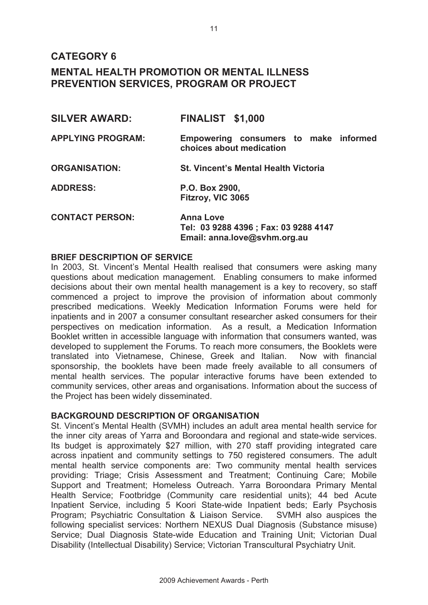# **CATEGORY 6**

# **MENTAL HEALTH PROMOTION OR MENTAL ILLNESS PREVENTION SERVICES, PROGRAM OR PROJECT**

| <b>SILVER AWARD:</b>     | <b>FINALIST \$1,000</b>                                                                   |
|--------------------------|-------------------------------------------------------------------------------------------|
| <b>APPLYING PROGRAM:</b> | Empowering consumers to make informed<br>choices about medication                         |
| <b>ORGANISATION:</b>     | <b>St. Vincent's Mental Health Victoria</b>                                               |
| <b>ADDRESS:</b>          | P.O. Box 2900,<br>Fitzroy, VIC 3065                                                       |
| <b>CONTACT PERSON:</b>   | <b>Anna Love</b><br>Tel: 03 9288 4396 ; Fax: 03 9288 4147<br>Email: anna.love@svhm.org.au |

### **BRIEF DESCRIPTION OF SERVICE**

In 2003, St. Vincent's Mental Health realised that consumers were asking many questions about medication management. Enabling consumers to make informed decisions about their own mental health management is a key to recovery, so staff commenced a project to improve the provision of information about commonly prescribed medications. Weekly Medication Information Forums were held for inpatients and in 2007 a consumer consultant researcher asked consumers for their perspectives on medication information. As a result, a Medication Information Booklet written in accessible language with information that consumers wanted, was developed to supplement the Forums. To reach more consumers, the Booklets were translated into Vietnamese, Chinese, Greek and Italian. Now with financial sponsorship, the booklets have been made freely available to all consumers of mental health services. The popular interactive forums have been extended to community services, other areas and organisations. Information about the success of the Project has been widely disseminated.

### **BACKGROUND DESCRIPTION OF ORGANISATION**

St. Vincent's Mental Health (SVMH) includes an adult area mental health service for the inner city areas of Yarra and Boroondara and regional and state-wide services. Its budget is approximately \$27 million, with 270 staff providing integrated care across inpatient and community settings to 750 registered consumers. The adult mental health service components are: Two community mental health services providing: Triage; Crisis Assessment and Treatment; Continuing Care; Mobile Support and Treatment; Homeless Outreach. Yarra Boroondara Primary Mental Health Service; Footbridge (Community care residential units); 44 bed Acute Inpatient Service, including 5 Koori State-wide Inpatient beds; Early Psychosis Program; Psychiatric Consultation & Liaison Service. SVMH also auspices the following specialist services: Northern NEXUS Dual Diagnosis (Substance misuse) Service; Dual Diagnosis State-wide Education and Training Unit; Victorian Dual Disability (Intellectual Disability) Service; Victorian Transcultural Psychiatry Unit.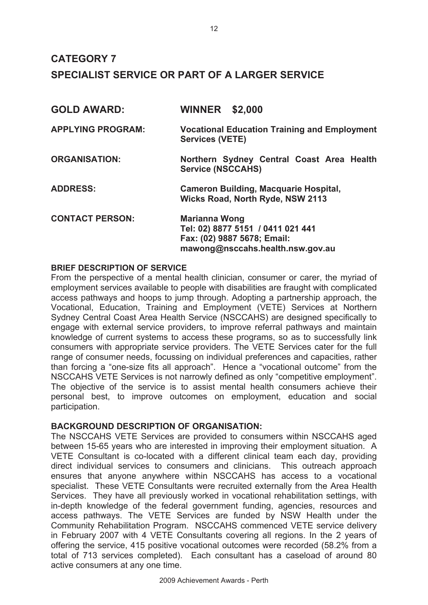| <b>GOLD AWARD:</b>       | <b>WINNER \$2,000</b>                                                                                                        |  |
|--------------------------|------------------------------------------------------------------------------------------------------------------------------|--|
| <b>APPLYING PROGRAM:</b> | <b>Vocational Education Training and Employment</b><br><b>Services (VETE)</b>                                                |  |
| <b>ORGANISATION:</b>     | Northern Sydney Central Coast Area Health<br><b>Service (NSCCAHS)</b>                                                        |  |
| <b>ADDRESS:</b>          | <b>Cameron Building, Macquarie Hospital,</b><br><b>Wicks Road, North Ryde, NSW 2113</b>                                      |  |
| <b>CONTACT PERSON:</b>   | <b>Marianna Wong</b><br>Tel: 02) 8877 5151 / 0411 021 441<br>Fax: (02) 9887 5678; Email:<br>mawong@nsccahs.health.nsw.gov.au |  |

## **BRIEF DESCRIPTION OF SERVICE**

From the perspective of a mental health clinician, consumer or carer, the myriad of employment services available to people with disabilities are fraught with complicated access pathways and hoops to jump through. Adopting a partnership approach, the Vocational, Education, Training and Employment (VETE) Services at Northern Sydney Central Coast Area Health Service (NSCCAHS) are designed specifically to engage with external service providers, to improve referral pathways and maintain knowledge of current systems to access these programs, so as to successfully link consumers with appropriate service providers. The VETE Services cater for the full range of consumer needs, focussing on individual preferences and capacities, rather than forcing a "one-size fits all approach". Hence a "vocational outcome" from the NSCCAHS VETE Services is not narrowly defined as only "competitive employment". The objective of the service is to assist mental health consumers achieve their personal best, to improve outcomes on employment, education and social participation.

# **BACKGROUND DESCRIPTION OF ORGANISATION:**

The NSCCAHS VETE Services are provided to consumers within NSCCAHS aged between 15-65 years who are interested in improving their employment situation. A VETE Consultant is co-located with a different clinical team each day, providing direct individual services to consumers and clinicians. This outreach approach ensures that anyone anywhere within NSCCAHS has access to a vocational specialist. These VETE Consultants were recruited externally from the Area Health Services. They have all previously worked in vocational rehabilitation settings, with in-depth knowledge of the federal government funding, agencies, resources and access pathways. The VETE Services are funded by NSW Health under the Community Rehabilitation Program. NSCCAHS commenced VETE service delivery in February 2007 with 4 VETE Consultants covering all regions. In the 2 years of offering the service, 415 positive vocational outcomes were recorded (58.2% from a total of 713 services completed). Each consultant has a caseload of around 80 active consumers at any one time.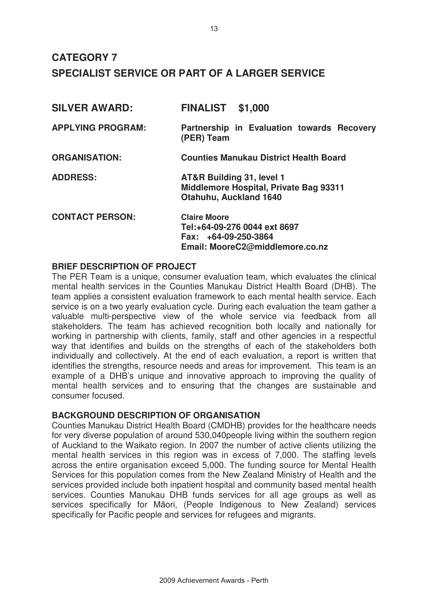| <b>SILVER AWARD:</b>     | <b>FINALIST</b><br>\$1,000                                                                                       |  |
|--------------------------|------------------------------------------------------------------------------------------------------------------|--|
| <b>APPLYING PROGRAM:</b> | Partnership in Evaluation towards Recovery<br>(PER) Team                                                         |  |
| <b>ORGANISATION:</b>     | <b>Counties Manukau District Health Board</b>                                                                    |  |
| <b>ADDRESS:</b>          | AT&R Building 31, level 1<br>Middlemore Hospital, Private Bag 93311<br>Otahuhu, Auckland 1640                    |  |
| <b>CONTACT PERSON:</b>   | <b>Claire Moore</b><br>Tel:+64-09-276 0044 ext 8697<br>Fax: $+64-09-250-3864$<br>Email: MooreC2@middlemore.co.nz |  |

# **BRIEF DESCRIPTION OF PROJECT**

The PER Team is a unique, consumer evaluation team, which evaluates the clinical mental health services in the Counties Manukau District Health Board (DHB). The team applies a consistent evaluation framework to each mental health service. Each service is on a two yearly evaluation cycle. During each evaluation the team gather a valuable multi-perspective view of the whole service via feedback from all stakeholders. The team has achieved recognition both locally and nationally for working in partnership with clients, family, staff and other agencies in a respectful way that identifies and builds on the strengths of each of the stakeholders both individually and collectively. At the end of each evaluation, a report is written that identifies the strengths, resource needs and areas for improvement. This team is an example of a DHB's unique and innovative approach to improving the quality of mental health services and to ensuring that the changes are sustainable and consumer focused.

# **BACKGROUND DESCRIPTION OF ORGANISATION**

Counties Manukau District Health Board (CMDHB) provides for the healthcare needs for very diverse population of around 530,040people living within the southern region of Auckland to the Waikato region. In 2007 the number of active clients utilizing the mental health services in this region was in excess of 7,000. The staffing levels across the entire organisation exceed 5,000. The funding source for Mental Health Services for this population comes from the New Zealand Ministry of Health and the services provided include both inpatient hospital and community based mental health services. Counties Manukau DHB funds services for all age groups as well as services specifically for Māori, (People Indigenous to New Zealand) services specifically for Pacific people and services for refugees and migrants.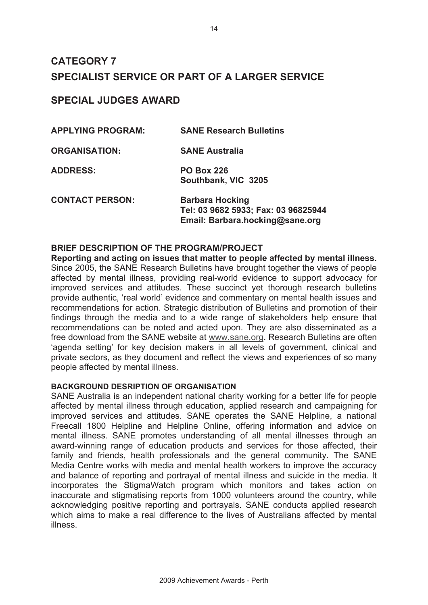# **SPECIAL JUDGES AWARD**

| <b>APPLYING PROGRAM:</b> | <b>SANE Research Bulletins</b>                                                                   |
|--------------------------|--------------------------------------------------------------------------------------------------|
| <b>ORGANISATION:</b>     | <b>SANE Australia</b>                                                                            |
| <b>ADDRESS:</b>          | <b>PO Box 226</b><br>Southbank, VIC 3205                                                         |
| <b>CONTACT PERSON:</b>   | <b>Barbara Hocking</b><br>Tel: 03 9682 5933; Fax: 03 96825944<br>Email: Barbara.hocking@sane.org |

# **BRIEF DESCRIPTION OF THE PROGRAM/PROJECT**

**Reporting and acting on issues that matter to people affected by mental illness.**  Since 2005, the SANE Research Bulletins have brought together the views of people affected by mental illness, providing real-world evidence to support advocacy for improved services and attitudes. These succinct yet thorough research bulletins provide authentic, 'real world' evidence and commentary on mental health issues and recommendations for action. Strategic distribution of Bulletins and promotion of their findings through the media and to a wide range of stakeholders help ensure that recommendations can be noted and acted upon. They are also disseminated as a free download from the SANE website at www.sane.org. Research Bulletins are often 'agenda setting' for key decision makers in all levels of government, clinical and private sectors, as they document and reflect the views and experiences of so many people affected by mental illness.

# **BACKGROUND DESRIPTION OF ORGANISATION**

SANE Australia is an independent national charity working for a better life for people affected by mental illness through education, applied research and campaigning for improved services and attitudes. SANE operates the SANE Helpline, a national Freecall 1800 Helpline and Helpline Online, offering information and advice on mental illness. SANE promotes understanding of all mental illnesses through an award-winning range of education products and services for those affected, their family and friends, health professionals and the general community. The SANE Media Centre works with media and mental health workers to improve the accuracy and balance of reporting and portrayal of mental illness and suicide in the media. It incorporates the StigmaWatch program which monitors and takes action on inaccurate and stigmatising reports from 1000 volunteers around the country, while acknowledging positive reporting and portrayals. SANE conducts applied research which aims to make a real difference to the lives of Australians affected by mental illness.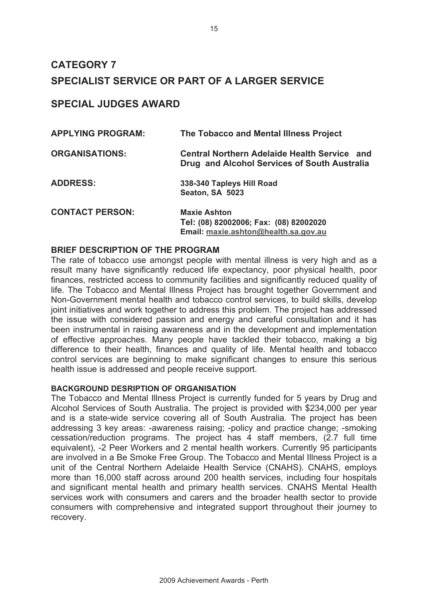# **SPECIAL JUDGES AWARD**

| <b>APPLYING PROGRAM:</b> | The Tobacco and Mental Illness Project                                                                |
|--------------------------|-------------------------------------------------------------------------------------------------------|
| <b>ORGANISATIONS:</b>    | <b>Central Northern Adelaide Health Service and</b><br>Drug and Alcohol Services of South Australia   |
| <b>ADDRESS:</b>          | 338-340 Tapleys Hill Road<br>Seaton, SA 5023                                                          |
| <b>CONTACT PERSON:</b>   | <b>Maxie Ashton</b><br>Tel: (08) 82002006; Fax: (08) 82002020<br>Email: maxie.ashton@health.sa.gov.au |

## **BRIEF DESCRIPTION OF THE PROGRAM**

The rate of tobacco use amongst people with mental illness is very high and as a result many have significantly reduced life expectancy, poor physical health, poor finances, restricted access to community facilities and significantly reduced quality of life. The Tobacco and Mental Illness Project has brought together Government and Non-Government mental health and tobacco control services, to build skills, develop joint initiatives and work together to address this problem. The project has addressed the issue with considered passion and energy and careful consultation and it has been instrumental in raising awareness and in the development and implementation of effective approaches. Many people have tackled their tobacco, making a big difference to their health, finances and quality of life. Mental health and tobacco control services are beginning to make significant changes to ensure this serious health issue is addressed and people receive support.

### **BACKGROUND DESRIPTION OF ORGANISATION**

The Tobacco and Mental Illness Project is currently funded for 5 years by Drug and Alcohol Services of South Australia. The project is provided with \$234,000 per year and is a state-wide service covering all of South Australia. The project has been addressing 3 key areas: -awareness raising; -policy and practice change; -smoking cessation/reduction programs. The project has 4 staff members, (2.7 full time equivalent), -2 Peer Workers and 2 mental health workers. Currently 95 participants are involved in a Be Smoke Free Group. The Tobacco and Mental Illness Project is a unit of the Central Northern Adelaide Health Service (CNAHS). CNAHS, employs more than 16,000 staff across around 200 health services, including four hospitals and significant mental health and primary health services. CNAHS Mental Health services work with consumers and carers and the broader health sector to provide consumers with comprehensive and integrated support throughout their journey to recovery.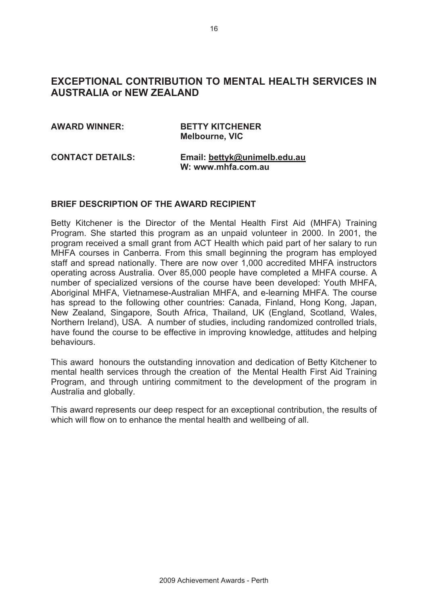# **EXCEPTIONAL CONTRIBUTION TO MENTAL HEALTH SERVICES IN AUSTRALIA or NEW ZEALAND**

# **AWARD WINNER: BETTY KITCHENER Melbourne, VIC CONTACT DETAILS: Email: bettyk@unimelb.edu.au**

# **W: www.mhfa.com.au**

## **BRIEF DESCRIPTION OF THE AWARD RECIPIENT**

Betty Kitchener is the Director of the Mental Health First Aid (MHFA) Training Program. She started this program as an unpaid volunteer in 2000. In 2001, the program received a small grant from ACT Health which paid part of her salary to run MHFA courses in Canberra. From this small beginning the program has employed staff and spread nationally. There are now over 1,000 accredited MHFA instructors operating across Australia. Over 85,000 people have completed a MHFA course. A number of specialized versions of the course have been developed: Youth MHFA, Aboriginal MHFA, Vietnamese-Australian MHFA, and e-learning MHFA. The course has spread to the following other countries: Canada, Finland, Hong Kong, Japan, New Zealand, Singapore, South Africa, Thailand, UK (England, Scotland, Wales, Northern Ireland), USA. A number of studies, including randomized controlled trials, have found the course to be effective in improving knowledge, attitudes and helping behaviours.

This award honours the outstanding innovation and dedication of Betty Kitchener to mental health services through the creation of the Mental Health First Aid Training Program, and through untiring commitment to the development of the program in Australia and globally.

This award represents our deep respect for an exceptional contribution, the results of which will flow on to enhance the mental health and wellbeing of all.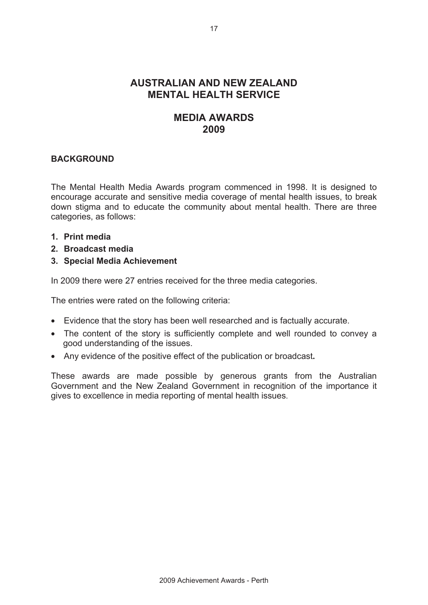# **AUSTRALIAN AND NEW ZEALAND MENTAL HEALTH SERVICE**

# **MEDIA AWARDS 2009**

# **BACKGROUND**

The Mental Health Media Awards program commenced in 1998. It is designed to encourage accurate and sensitive media coverage of mental health issues, to break down stigma and to educate the community about mental health. There are three categories, as follows:

- **1. Print media**
- **2. Broadcast media**
- **3. Special Media Achievement**

In 2009 there were 27 entries received for the three media categories.

The entries were rated on the following criteria:

- Evidence that the story has been well researched and is factually accurate.
- The content of the story is sufficiently complete and well rounded to convey a good understanding of the issues.
- Any evidence of the positive effect of the publication or broadcast**.**

These awards are made possible by generous grants from the Australian Government and the New Zealand Government in recognition of the importance it gives to excellence in media reporting of mental health issues.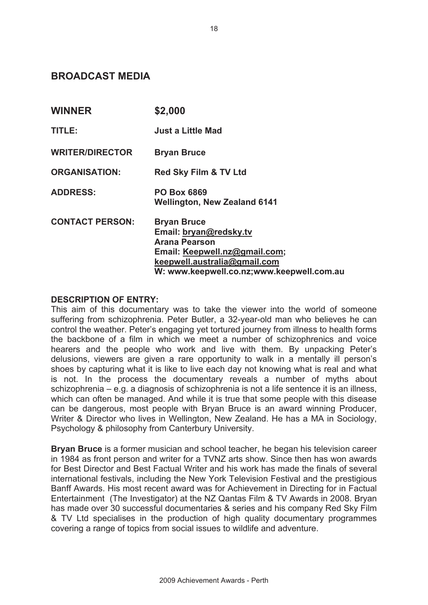# **BROADCAST MEDIA**

| <b>WINNER</b>          | \$2,000                                                                                                                                                                            |
|------------------------|------------------------------------------------------------------------------------------------------------------------------------------------------------------------------------|
| TITLE:                 | <b>Just a Little Mad</b>                                                                                                                                                           |
| <b>WRITER/DIRECTOR</b> | <b>Bryan Bruce</b>                                                                                                                                                                 |
| <b>ORGANISATION:</b>   | <b>Red Sky Film &amp; TV Ltd</b>                                                                                                                                                   |
| <b>ADDRESS:</b>        | <b>PO Box 6869</b><br><b>Wellington, New Zealand 6141</b>                                                                                                                          |
| <b>CONTACT PERSON:</b> | <b>Bryan Bruce</b><br>Email: bryan@redsky.tv<br><b>Arana Pearson</b><br>Email: Keepwell.nz@gmail.com;<br>keepwell.australia@gmail.com<br>W: www.keepwell.co.nz;www.keepwell.com.au |

## **DESCRIPTION OF ENTRY:**

This aim of this documentary was to take the viewer into the world of someone suffering from schizophrenia. Peter Butler, a 32-year-old man who believes he can control the weather. Peter's engaging yet tortured journey from illness to health forms the backbone of a film in which we meet a number of schizophrenics and voice hearers and the people who work and live with them. By unpacking Peter's delusions, viewers are given a rare opportunity to walk in a mentally ill person's shoes by capturing what it is like to live each day not knowing what is real and what is not. In the process the documentary reveals a number of myths about schizophrenia – e.g. a diagnosis of schizophrenia is not a life sentence it is an illness, which can often be managed. And while it is true that some people with this disease can be dangerous, most people with Bryan Bruce is an award winning Producer, Writer & Director who lives in Wellington, New Zealand. He has a MA in Sociology, Psychology & philosophy from Canterbury University.

**Bryan Bruce** is a former musician and school teacher, he began his television career in 1984 as front person and writer for a TVNZ arts show. Since then has won awards for Best Director and Best Factual Writer and his work has made the finals of several international festivals, including the New York Television Festival and the prestigious Banff Awards. His most recent award was for Achievement in Directing for in Factual Entertainment (The Investigator) at the NZ Qantas Film & TV Awards in 2008. Bryan has made over 30 successful documentaries & series and his company Red Sky Film & TV Ltd specialises in the production of high quality documentary programmes covering a range of topics from social issues to wildlife and adventure.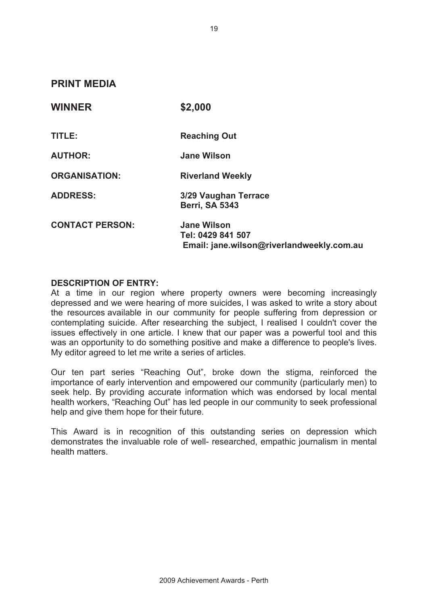**PRINT MEDIA** 

| <b>WINNER</b>          | \$2,000                                                                              |
|------------------------|--------------------------------------------------------------------------------------|
| TITLE:                 | <b>Reaching Out</b>                                                                  |
| <b>AUTHOR:</b>         | <b>Jane Wilson</b>                                                                   |
| <b>ORGANISATION:</b>   | <b>Riverland Weekly</b>                                                              |
| <b>ADDRESS:</b>        | 3/29 Vaughan Terrace<br><b>Berri, SA 5343</b>                                        |
| <b>CONTACT PERSON:</b> | <b>Jane Wilson</b><br>Tel: 0429 841 507<br>Email: jane.wilson@riverlandweekly.com.au |

## **DESCRIPTION OF ENTRY:**

At a time in our region where property owners were becoming increasingly depressed and we were hearing of more suicides, I was asked to write a story about the resources available in our community for people suffering from depression or contemplating suicide. After researching the subject, I realised I couldn't cover the issues effectively in one article. I knew that our paper was a powerful tool and this was an opportunity to do something positive and make a difference to people's lives. My editor agreed to let me write a series of articles.

Our ten part series "Reaching Out", broke down the stigma, reinforced the importance of early intervention and empowered our community (particularly men) to seek help. By providing accurate information which was endorsed by local mental health workers, "Reaching Out" has led people in our community to seek professional help and give them hope for their future.

This Award is in recognition of this outstanding series on depression which demonstrates the invaluable role of well- researched, empathic journalism in mental health matters.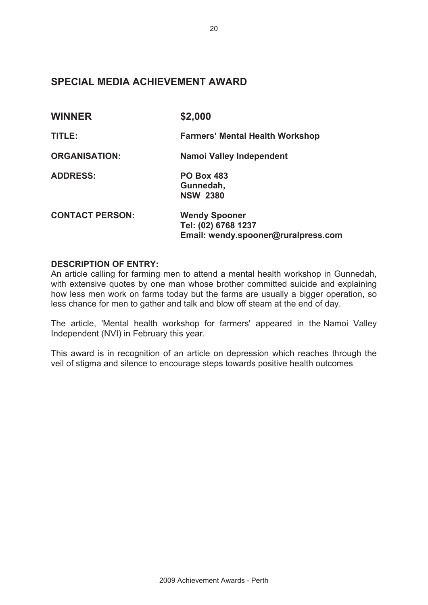# **SPECIAL MEDIA ACHIEVEMENT AWARD**

| <b>WINNER</b>          | \$2,000                                                                            |  |
|------------------------|------------------------------------------------------------------------------------|--|
| TITLE:                 | <b>Farmers' Mental Health Workshop</b>                                             |  |
| <b>ORGANISATION:</b>   | Namoi Valley Independent                                                           |  |
| <b>ADDRESS:</b>        | <b>PO Box 483</b><br>Gunnedah,<br><b>NSW 2380</b>                                  |  |
| <b>CONTACT PERSON:</b> | <b>Wendy Spooner</b><br>Tel: (02) 6768 1237<br>Email: wendy.spooner@ruralpress.com |  |

# **DESCRIPTION OF ENTRY:**

An article calling for farming men to attend a mental health workshop in Gunnedah, with extensive quotes by one man whose brother committed suicide and explaining how less men work on farms today but the farms are usually a bigger operation, so less chance for men to gather and talk and blow off steam at the end of day.

The article, 'Mental health workshop for farmers' appeared in the Namoi Valley Independent (NVI) in February this year.

This award is in recognition of an article on depression which reaches through the veil of stigma and silence to encourage steps towards positive health outcomes